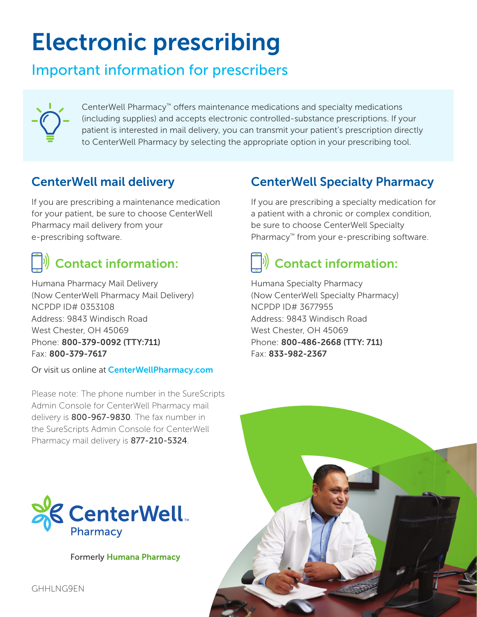# Electronic prescribing

## Important information for prescribers



CenterWell Pharmacy™ offers maintenance medications and specialty medications (including supplies) and accepts electronic controlled-substance prescriptions. If your patient is interested in mail delivery, you can transmit your patient's prescription directly to CenterWell Pharmacy by selecting the appropriate option in your prescribing tool.

### CenterWell mail delivery

If you are prescribing a maintenance medication for your patient, be sure to choose CenterWell Pharmacy mail delivery from your e-prescribing software.

## $\ket{\psi}$  Contact information:

Humana Pharmacy Mail Delivery (Now CenterWell Pharmacy Mail Delivery) NCPDP ID# 0353108 Address: 9843 Windisch Road West Chester, OH 45069 Phone: 800-379-0092 (TTY:711) Fax: 800-379-7617

Or visit us online at **CenterWellPharmacy.com** 

Please note: The phone number in the SureScripts Admin Console for CenterWell Pharmacy mail delivery is 800-967-9830. The fax number in the SureScripts Admin Console for CenterWell Pharmacy mail delivery is 877-210-5324.



**Formerly Humana Pharmacy** 

### CenterWell Specialty Pharmacy

If you are prescribing a specialty medication for a patient with a chronic or complex condition, be sure to choose CenterWell Specialty Pharmacy<sup>™</sup> from your e-prescribing software.

# Contact information:

Humana Specialty Pharmacy (Now CenterWell Specialty Pharmacy) NCPDP ID# 3677955 Address: 9843 Windisch Road West Chester, OH 45069 Phone: 800-486-2668 (TTY: 711) Fax: 833-982-2367



GHHLNG9EN